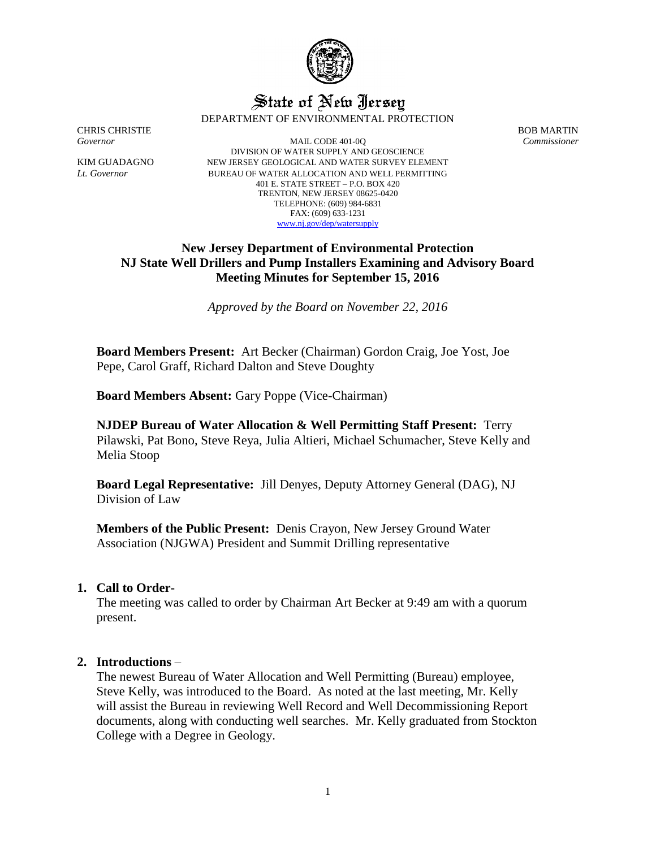

# State of New Jersey DEPARTMENT OF ENVIRONMENTAL PROTECTION

CHRIS CHRISTIE BOB MARTIN

*Governor* MAIL CODE 401-0Q *Commissioner* DIVISION OF WATER SUPPLY AND GEOSCIENCE KIM GUADAGNO NEW JERSEY GEOLOGICAL AND WATER SURVEY ELEMENT *Lt. Governor* BUREAU OF WATER ALLOCATION AND WELL PERMITTING 401 E. STATE STREET – P.O. BOX 420 TRENTON, NEW JERSEY 08625-0420 TELEPHONE: (609) 984-6831 FAX: (609) 633-1231 [www.nj.gov/dep/watersupply](http://www.nj.gov/dep/watersupply)

# **New Jersey Department of Environmental Protection NJ State Well Drillers and Pump Installers Examining and Advisory Board Meeting Minutes for September 15, 2016**

*Approved by the Board on November 22, 2016*

**Board Members Present:** Art Becker (Chairman) Gordon Craig, Joe Yost, Joe Pepe, Carol Graff, Richard Dalton and Steve Doughty

**Board Members Absent:** Gary Poppe (Vice-Chairman)

**NJDEP Bureau of Water Allocation & Well Permitting Staff Present:** Terry Pilawski, Pat Bono, Steve Reya, Julia Altieri, Michael Schumacher, Steve Kelly and Melia Stoop

**Board Legal Representative:** Jill Denyes, Deputy Attorney General (DAG), NJ Division of Law

**Members of the Public Present:** Denis Crayon, New Jersey Ground Water Association (NJGWA) President and Summit Drilling representative

## **1. Call to Order-**

The meeting was called to order by Chairman Art Becker at 9:49 am with a quorum present.

## **2. Introductions** –

The newest Bureau of Water Allocation and Well Permitting (Bureau) employee, Steve Kelly, was introduced to the Board. As noted at the last meeting, Mr. Kelly will assist the Bureau in reviewing Well Record and Well Decommissioning Report documents, along with conducting well searches. Mr. Kelly graduated from Stockton College with a Degree in Geology.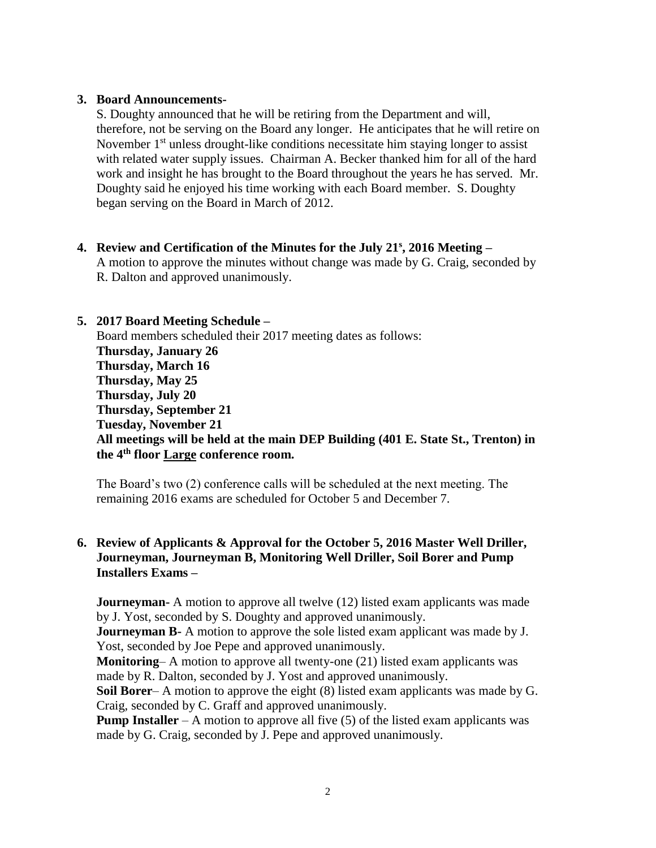## **3. Board Announcements-**

S. Doughty announced that he will be retiring from the Department and will, therefore, not be serving on the Board any longer. He anticipates that he will retire on November 1<sup>st</sup> unless drought-like conditions necessitate him staying longer to assist with related water supply issues. Chairman A. Becker thanked him for all of the hard work and insight he has brought to the Board throughout the years he has served. Mr. Doughty said he enjoyed his time working with each Board member. S. Doughty began serving on the Board in March of 2012.

## **4. Review and Certification of the Minutes for the July 21<sup>s</sup> , 2016 Meeting –**

A motion to approve the minutes without change was made by G. Craig, seconded by R. Dalton and approved unanimously.

## **5. 2017 Board Meeting Schedule –**

Board members scheduled their 2017 meeting dates as follows: **Thursday, January 26 Thursday, March 16 Thursday, May 25 Thursday, July 20 Thursday, September 21 Tuesday, November 21 All meetings will be held at the main DEP Building (401 E. State St., Trenton) in the 4th floor Large conference room.** 

The Board's two (2) conference calls will be scheduled at the next meeting. The remaining 2016 exams are scheduled for October 5 and December 7.

# **6. Review of Applicants & Approval for the October 5, 2016 Master Well Driller, Journeyman, Journeyman B, Monitoring Well Driller, Soil Borer and Pump Installers Exams –**

**Journeyman-** A motion to approve all twelve (12) listed exam applicants was made by J. Yost, seconded by S. Doughty and approved unanimously.

**Journeyman B-** A motion to approve the sole listed exam applicant was made by J. Yost, seconded by Joe Pepe and approved unanimously.

**Monitoring–** A motion to approve all twenty-one (21) listed exam applicants was made by R. Dalton, seconded by J. Yost and approved unanimously.

**Soil Borer**– A motion to approve the eight (8) listed exam applicants was made by G. Craig, seconded by C. Graff and approved unanimously.

**Pump Installer** – A motion to approve all five  $(5)$  of the listed exam applicants was made by G. Craig, seconded by J. Pepe and approved unanimously.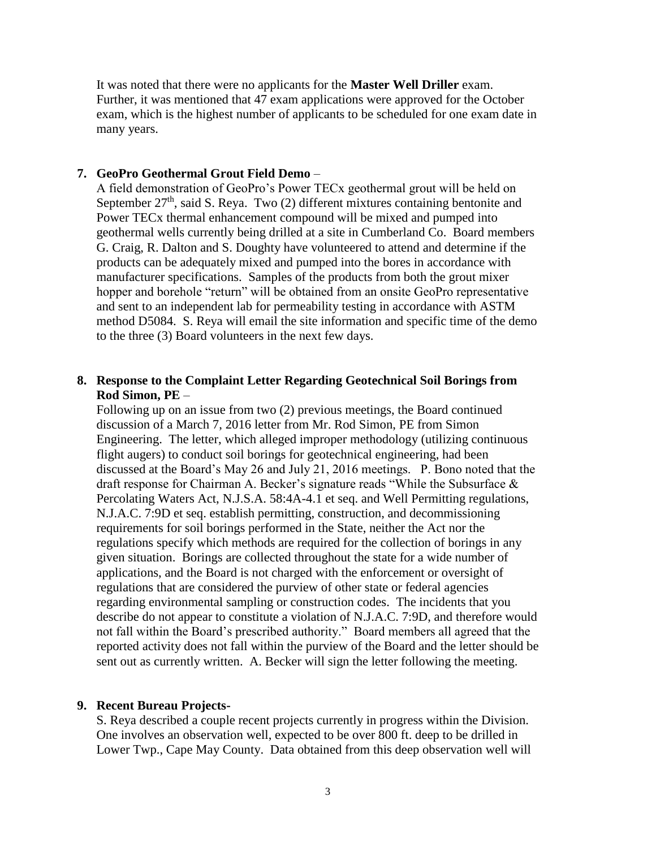It was noted that there were no applicants for the **Master Well Driller** exam. Further, it was mentioned that 47 exam applications were approved for the October exam, which is the highest number of applicants to be scheduled for one exam date in many years.

### **7. GeoPro Geothermal Grout Field Demo** –

A field demonstration of GeoPro's Power TECx geothermal grout will be held on September  $27<sup>th</sup>$ , said S. Reya. Two (2) different mixtures containing bentonite and Power TECx thermal enhancement compound will be mixed and pumped into geothermal wells currently being drilled at a site in Cumberland Co. Board members G. Craig, R. Dalton and S. Doughty have volunteered to attend and determine if the products can be adequately mixed and pumped into the bores in accordance with manufacturer specifications. Samples of the products from both the grout mixer hopper and borehole "return" will be obtained from an onsite GeoPro representative and sent to an independent lab for permeability testing in accordance with ASTM method D5084. S. Reya will email the site information and specific time of the demo to the three (3) Board volunteers in the next few days.

## **8. Response to the Complaint Letter Regarding Geotechnical Soil Borings from Rod Simon, PE** –

Following up on an issue from two (2) previous meetings, the Board continued discussion of a March 7, 2016 letter from Mr. Rod Simon, PE from Simon Engineering. The letter, which alleged improper methodology (utilizing continuous flight augers) to conduct soil borings for geotechnical engineering, had been discussed at the Board's May 26 and July 21, 2016 meetings. P. Bono noted that the draft response for Chairman A. Becker's signature reads "While the Subsurface & Percolating Waters Act, N.J.S.A. 58:4A-4.1 et seq. and Well Permitting regulations, N.J.A.C. 7:9D et seq. establish permitting, construction, and decommissioning requirements for soil borings performed in the State, neither the Act nor the regulations specify which methods are required for the collection of borings in any given situation. Borings are collected throughout the state for a wide number of applications, and the Board is not charged with the enforcement or oversight of regulations that are considered the purview of other state or federal agencies regarding environmental sampling or construction codes. The incidents that you describe do not appear to constitute a violation of N.J.A.C. 7:9D, and therefore would not fall within the Board's prescribed authority." Board members all agreed that the reported activity does not fall within the purview of the Board and the letter should be sent out as currently written. A. Becker will sign the letter following the meeting.

### **9. Recent Bureau Projects-**

S. Reya described a couple recent projects currently in progress within the Division. One involves an observation well, expected to be over 800 ft. deep to be drilled in Lower Twp., Cape May County. Data obtained from this deep observation well will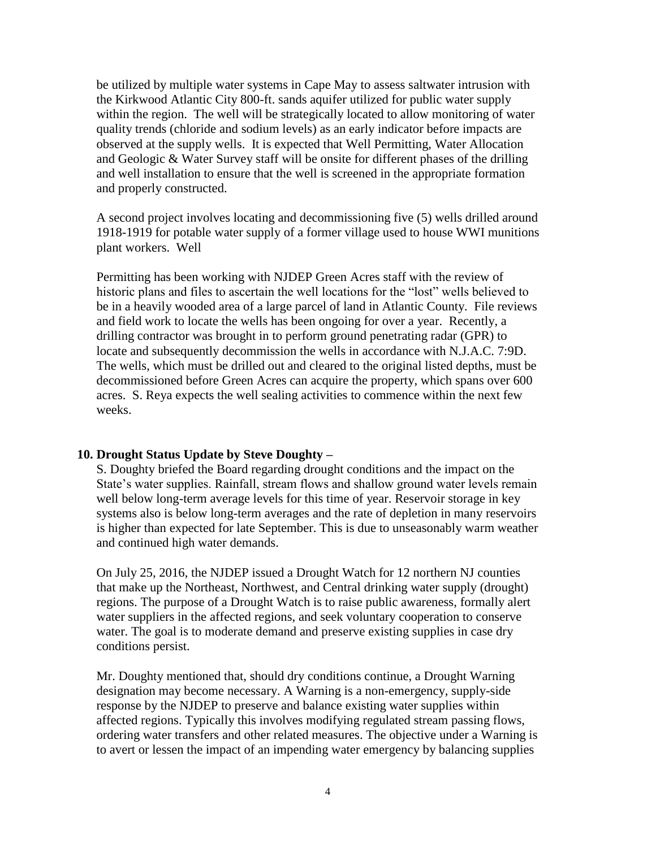be utilized by multiple water systems in Cape May to assess saltwater intrusion with the Kirkwood Atlantic City 800-ft. sands aquifer utilized for public water supply within the region. The well will be strategically located to allow monitoring of water quality trends (chloride and sodium levels) as an early indicator before impacts are observed at the supply wells. It is expected that Well Permitting, Water Allocation and Geologic & Water Survey staff will be onsite for different phases of the drilling and well installation to ensure that the well is screened in the appropriate formation and properly constructed.

A second project involves locating and decommissioning five (5) wells drilled around 1918-1919 for potable water supply of a former village used to house WWI munitions plant workers. Well

Permitting has been working with NJDEP Green Acres staff with the review of historic plans and files to ascertain the well locations for the "lost" wells believed to be in a heavily wooded area of a large parcel of land in Atlantic County. File reviews and field work to locate the wells has been ongoing for over a year. Recently, a drilling contractor was brought in to perform ground penetrating radar (GPR) to locate and subsequently decommission the wells in accordance with N.J.A.C. 7:9D. The wells, which must be drilled out and cleared to the original listed depths, must be decommissioned before Green Acres can acquire the property, which spans over 600 acres. S. Reya expects the well sealing activities to commence within the next few weeks.

#### **10. Drought Status Update by Steve Doughty –**

S. Doughty briefed the Board regarding drought conditions and the impact on the State's water supplies. Rainfall, stream flows and shallow ground water levels remain well below long-term average levels for this time of year. Reservoir storage in key systems also is below long-term averages and the rate of depletion in many reservoirs is higher than expected for late September. This is due to unseasonably warm weather and continued high water demands.

On July 25, 2016, the NJDEP issued a Drought Watch for 12 northern NJ counties that make up the Northeast, Northwest, and Central drinking water supply (drought) regions. The purpose of a Drought Watch is to raise public awareness, formally alert water suppliers in the affected regions, and seek voluntary cooperation to conserve water. The goal is to moderate demand and preserve existing supplies in case dry conditions persist.

Mr. Doughty mentioned that, should dry conditions continue, a Drought Warning designation may become necessary. A Warning is a non-emergency, supply-side response by the NJDEP to preserve and balance existing water supplies within affected regions. Typically this involves modifying regulated stream passing flows, ordering water transfers and other related measures. The objective under a Warning is to avert or lessen the impact of an impending water emergency by balancing supplies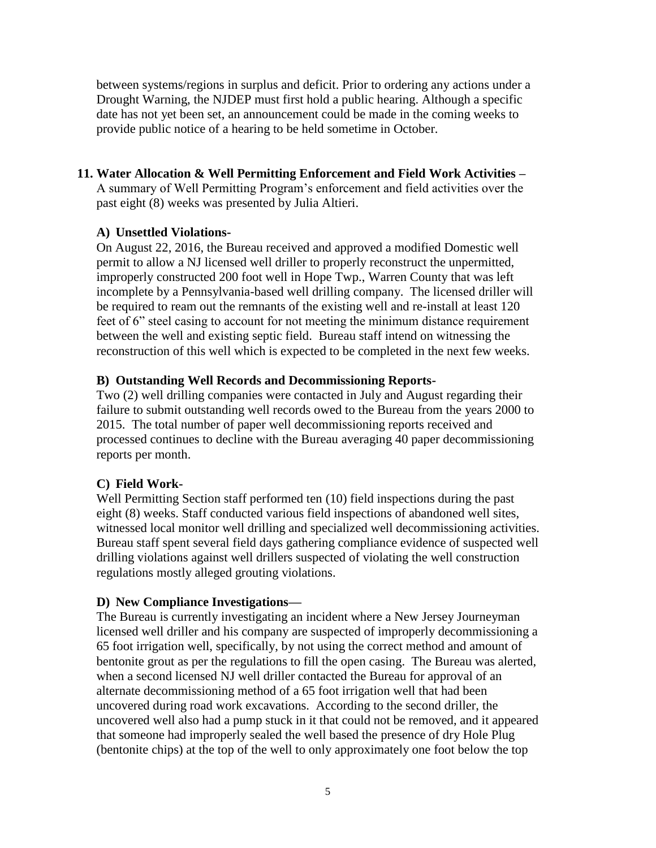between systems/regions in surplus and deficit. Prior to ordering any actions under a Drought Warning, the NJDEP must first hold a public hearing. Although a specific date has not yet been set, an announcement could be made in the coming weeks to provide public notice of a hearing to be held sometime in October.

# **11. Water Allocation & Well Permitting Enforcement and Field Work Activities –**

A summary of Well Permitting Program's enforcement and field activities over the past eight (8) weeks was presented by Julia Altieri.

# **A) Unsettled Violations-**

On August 22, 2016, the Bureau received and approved a modified Domestic well permit to allow a NJ licensed well driller to properly reconstruct the unpermitted, improperly constructed 200 foot well in Hope Twp., Warren County that was left incomplete by a Pennsylvania-based well drilling company. The licensed driller will be required to ream out the remnants of the existing well and re-install at least 120 feet of 6" steel casing to account for not meeting the minimum distance requirement between the well and existing septic field. Bureau staff intend on witnessing the reconstruction of this well which is expected to be completed in the next few weeks.

# **B) Outstanding Well Records and Decommissioning Reports-**

Two (2) well drilling companies were contacted in July and August regarding their failure to submit outstanding well records owed to the Bureau from the years 2000 to 2015. The total number of paper well decommissioning reports received and processed continues to decline with the Bureau averaging 40 paper decommissioning reports per month.

# **C) Field Work-**

Well Permitting Section staff performed ten (10) field inspections during the past eight (8) weeks. Staff conducted various field inspections of abandoned well sites, witnessed local monitor well drilling and specialized well decommissioning activities. Bureau staff spent several field days gathering compliance evidence of suspected well drilling violations against well drillers suspected of violating the well construction regulations mostly alleged grouting violations.

# **D) New Compliance Investigations—**

The Bureau is currently investigating an incident where a New Jersey Journeyman licensed well driller and his company are suspected of improperly decommissioning a 65 foot irrigation well, specifically, by not using the correct method and amount of bentonite grout as per the regulations to fill the open casing. The Bureau was alerted, when a second licensed NJ well driller contacted the Bureau for approval of an alternate decommissioning method of a 65 foot irrigation well that had been uncovered during road work excavations. According to the second driller, the uncovered well also had a pump stuck in it that could not be removed, and it appeared that someone had improperly sealed the well based the presence of dry Hole Plug (bentonite chips) at the top of the well to only approximately one foot below the top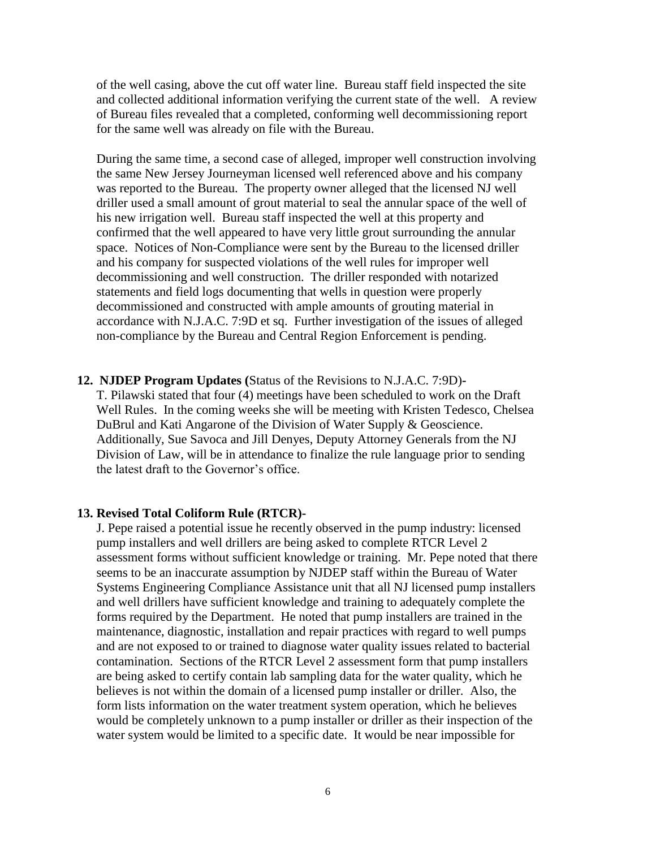of the well casing, above the cut off water line. Bureau staff field inspected the site and collected additional information verifying the current state of the well. A review of Bureau files revealed that a completed, conforming well decommissioning report for the same well was already on file with the Bureau.

During the same time, a second case of alleged, improper well construction involving the same New Jersey Journeyman licensed well referenced above and his company was reported to the Bureau. The property owner alleged that the licensed NJ well driller used a small amount of grout material to seal the annular space of the well of his new irrigation well. Bureau staff inspected the well at this property and confirmed that the well appeared to have very little grout surrounding the annular space. Notices of Non-Compliance were sent by the Bureau to the licensed driller and his company for suspected violations of the well rules for improper well decommissioning and well construction. The driller responded with notarized statements and field logs documenting that wells in question were properly decommissioned and constructed with ample amounts of grouting material in accordance with N.J.A.C. 7:9D et sq. Further investigation of the issues of alleged non-compliance by the Bureau and Central Region Enforcement is pending.

#### **12. NJDEP Program Updates (**Status of the Revisions to N.J.A.C. 7:9D)**-**

T. Pilawski stated that four (4) meetings have been scheduled to work on the Draft Well Rules. In the coming weeks she will be meeting with Kristen Tedesco, Chelsea DuBrul and Kati Angarone of the Division of Water Supply & Geoscience. Additionally, Sue Savoca and Jill Denyes, Deputy Attorney Generals from the NJ Division of Law, will be in attendance to finalize the rule language prior to sending the latest draft to the Governor's office.

#### **13. Revised Total Coliform Rule (RTCR)-**

J. Pepe raised a potential issue he recently observed in the pump industry: licensed pump installers and well drillers are being asked to complete RTCR Level 2 assessment forms without sufficient knowledge or training. Mr. Pepe noted that there seems to be an inaccurate assumption by NJDEP staff within the Bureau of Water Systems Engineering Compliance Assistance unit that all NJ licensed pump installers and well drillers have sufficient knowledge and training to adequately complete the forms required by the Department. He noted that pump installers are trained in the maintenance, diagnostic, installation and repair practices with regard to well pumps and are not exposed to or trained to diagnose water quality issues related to bacterial contamination. Sections of the RTCR Level 2 assessment form that pump installers are being asked to certify contain lab sampling data for the water quality, which he believes is not within the domain of a licensed pump installer or driller. Also, the form lists information on the water treatment system operation, which he believes would be completely unknown to a pump installer or driller as their inspection of the water system would be limited to a specific date. It would be near impossible for